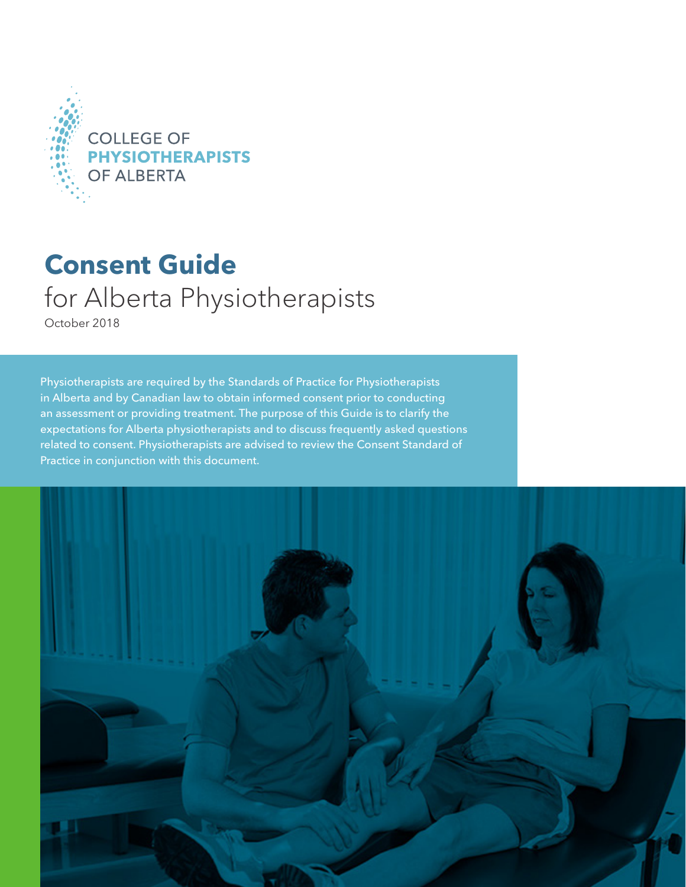

## **Consent Guide**  for Alberta Physiotherapists

October 2018

Physiotherapists are required by the Standards of Practice for Physiotherapists in Alberta and by Canadian law to obtain informed consent prior to conducting an assessment or providing treatment. The purpose of this Guide is to clarify the expectations for Alberta physiotherapists and to discuss frequently asked questions related to consent. Physiotherapists are advised to review the Consent Standard of Practice in conjunction with this document.

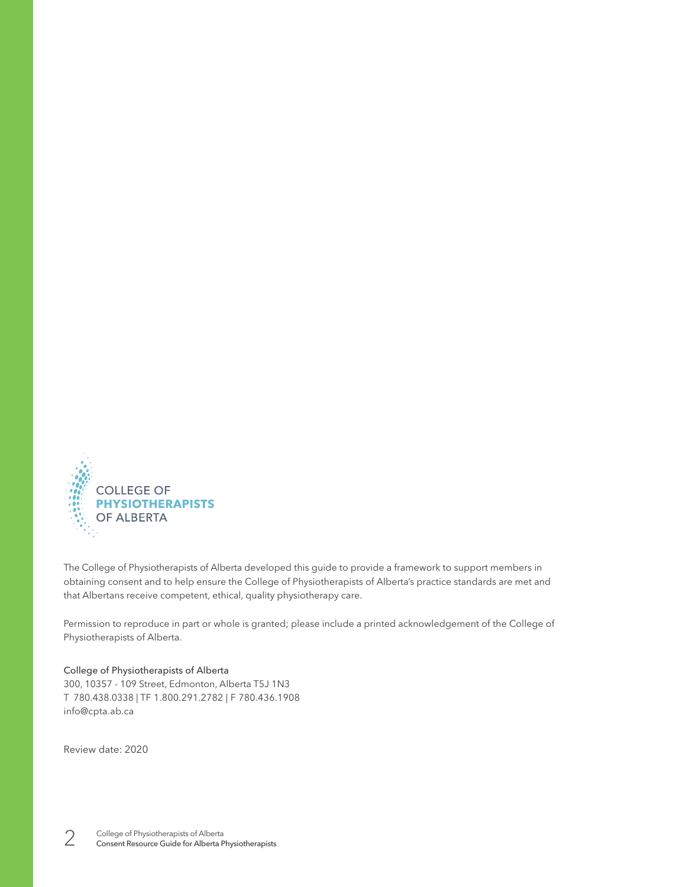

The College of Physiotherapists of Alberta developed this guide to provide a framework to support members in obtaining consent and to help ensure the College of Physiotherapists of Alberta's practice standards are met and that Albertans receive competent, ethical, quality physiotherapy care.

Permission to reproduce in part or whole is granted; please include a printed acknowledgement of the College of Physiotherapists of Alberta.

#### College of Physiotherapists of Alberta 300, 10357 - 109 Street, Edmonton, Alberta T5J 1N3

T 780.438.0338 | TF 1.800.291.2782 | F 780.436.1908 info@cpta.ab.ca

Review date: 2020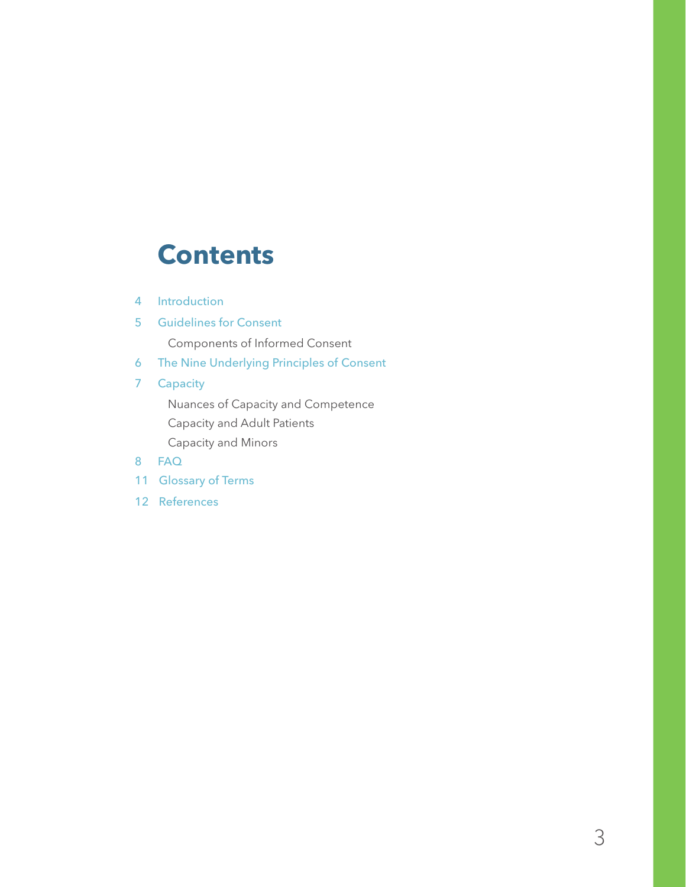### **Contents**

- 4 Introduction
- 5 Guidelines for Consent

Components of Informed Consent

- 6 The Nine Underlying Principles of Consent
- 7 Capacity

 Nuances of Capacity and Competence Capacity and Adult Patients

Capacity and Minors

- 8 FAQ
- 11 Glossary of Terms
- 12 References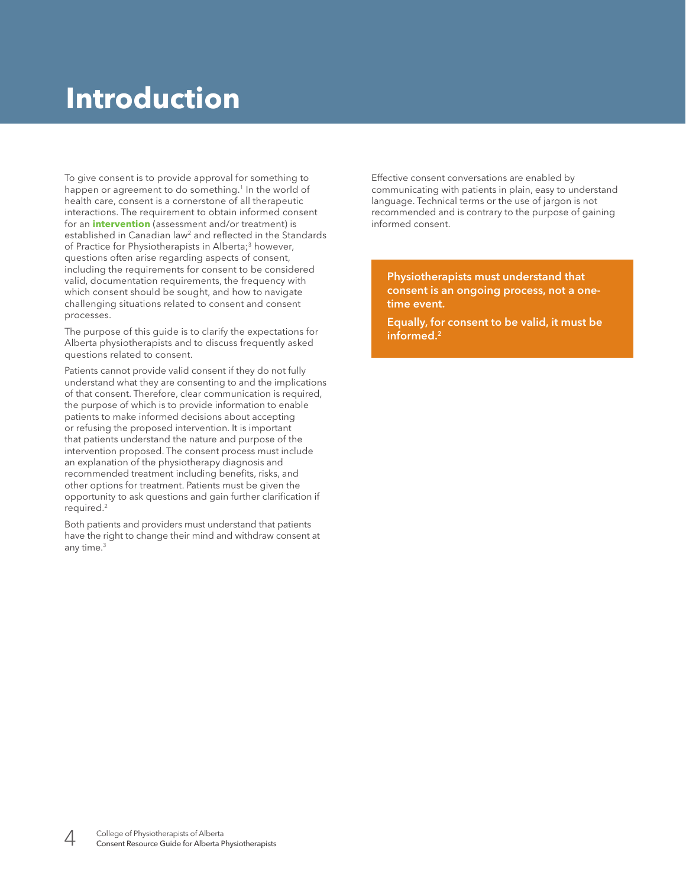## **Introduction**

To give consent is to provide approval for something to happen or agreement to do something.<sup>1</sup> In the world of health care, consent is a cornerstone of all therapeutic interactions. The requirement to obtain informed consent for an **intervention** (assessment and/or treatment) is established in Canadian law<sup>2</sup> and reflected in the Standards of Practice for Physiotherapists in Alberta;<sup>3</sup> however, questions often arise regarding aspects of consent, including the requirements for consent to be considered valid, documentation requirements, the frequency with which consent should be sought, and how to navigate challenging situations related to consent and consent processes.

The purpose of this guide is to clarify the expectations for Alberta physiotherapists and to discuss frequently asked questions related to consent.

Patients cannot provide valid consent if they do not fully understand what they are consenting to and the implications of that consent. Therefore, clear communication is required, the purpose of which is to provide information to enable patients to make informed decisions about accepting or refusing the proposed intervention. It is important that patients understand the nature and purpose of the intervention proposed. The consent process must include an explanation of the physiotherapy diagnosis and recommended treatment including benefits, risks, and other options for treatment. Patients must be given the opportunity to ask questions and gain further clarification if required.2

Both patients and providers must understand that patients have the right to change their mind and withdraw consent at any time.3

Effective consent conversations are enabled by communicating with patients in plain, easy to understand language. Technical terms or the use of jargon is not recommended and is contrary to the purpose of gaining informed consent.

Physiotherapists must understand that consent is an ongoing process, not a onetime event.

Equally, for consent to be valid, it must be informed.<sup>2</sup>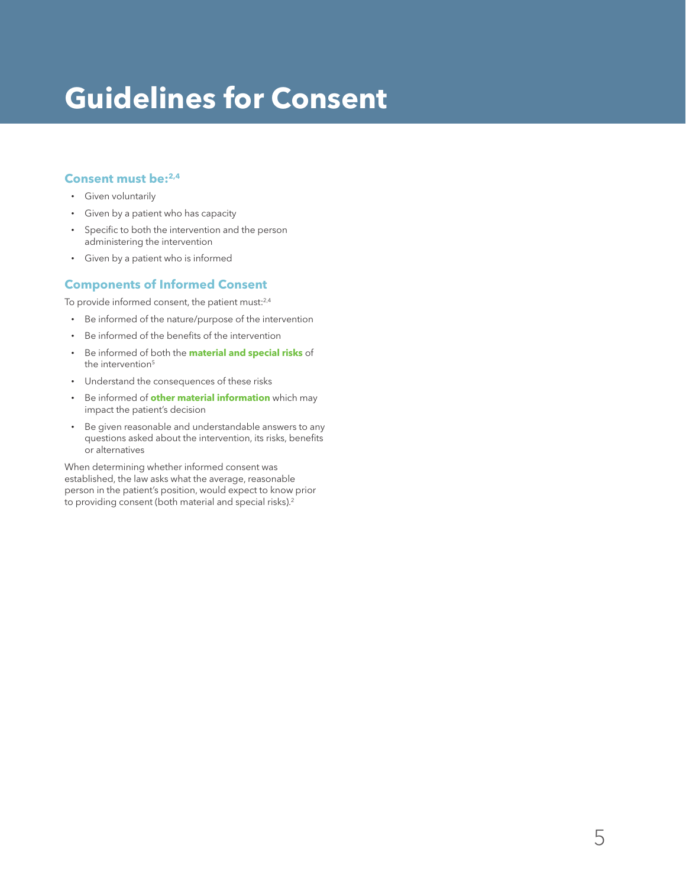# **Guidelines for Consent**

#### **Consent must be:2,4**

- **·** Given voluntarily
- **·** Given by a patient who has capacity
- **·** Specific to both the intervention and the person administering the intervention
- **·** Given by a patient who is informed

#### **Components of Informed Consent**

To provide informed consent, the patient must:<sup>2,4</sup>

- **·** Be informed of the nature/purpose of the intervention
- **·** Be informed of the benefits of the intervention
- **·** Be informed of both the **material and special risks** of the intervention<sup>5</sup>
- **·** Understand the consequences of these risks
- **·** Be informed of **other material information** which may impact the patient's decision
- **·** Be given reasonable and understandable answers to any questions asked about the intervention, its risks, benefits or alternatives

When determining whether informed consent was established, the law asks what the average, reasonable person in the patient's position, would expect to know prior to providing consent (both material and special risks).<sup>2</sup>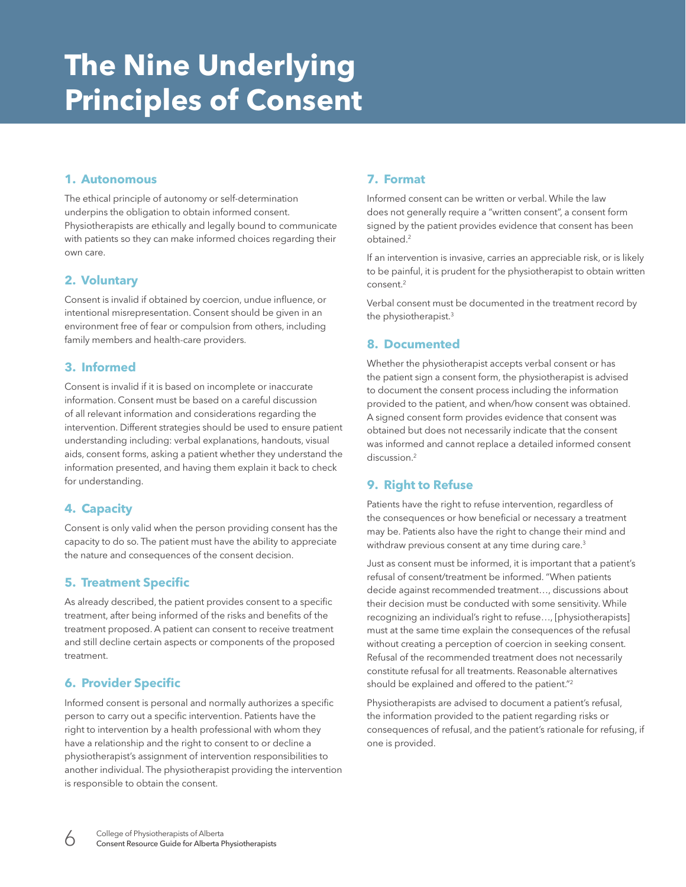# **The Nine Underlying Principles of Consent**

#### **1. Autonomous**

The ethical principle of autonomy or self-determination underpins the obligation to obtain informed consent. Physiotherapists are ethically and legally bound to communicate with patients so they can make informed choices regarding their own care.

#### **2. Voluntary**

Consent is invalid if obtained by coercion, undue influence, or intentional misrepresentation. Consent should be given in an environment free of fear or compulsion from others, including family members and health-care providers.

#### **3. Informed**

Consent is invalid if it is based on incomplete or inaccurate information. Consent must be based on a careful discussion of all relevant information and considerations regarding the intervention. Different strategies should be used to ensure patient understanding including: verbal explanations, handouts, visual aids, consent forms, asking a patient whether they understand the information presented, and having them explain it back to check for understanding.

#### **4. Capacity**

Consent is only valid when the person providing consent has the capacity to do so. The patient must have the ability to appreciate the nature and consequences of the consent decision.

#### **5. Treatment Specific**

As already described, the patient provides consent to a specific treatment, after being informed of the risks and benefits of the treatment proposed. A patient can consent to receive treatment and still decline certain aspects or components of the proposed treatment.

#### **6. Provider Specific**

Informed consent is personal and normally authorizes a specific person to carry out a specific intervention. Patients have the right to intervention by a health professional with whom they have a relationship and the right to consent to or decline a physiotherapist's assignment of intervention responsibilities to another individual. The physiotherapist providing the intervention is responsible to obtain the consent.

#### **7. Format**

Informed consent can be written or verbal. While the law does not generally require a "written consent", a consent form signed by the patient provides evidence that consent has been obtained.2

If an intervention is invasive, carries an appreciable risk, or is likely to be painful, it is prudent for the physiotherapist to obtain written consent.2

Verbal consent must be documented in the treatment record by the physiotherapist.3

#### **8. Documented**

Whether the physiotherapist accepts verbal consent or has the patient sign a consent form, the physiotherapist is advised to document the consent process including the information provided to the patient, and when/how consent was obtained. A signed consent form provides evidence that consent was obtained but does not necessarily indicate that the consent was informed and cannot replace a detailed informed consent discussion.<sup>2</sup>

#### **9. Right to Refuse**

Patients have the right to refuse intervention, regardless of the consequences or how beneficial or necessary a treatment may be. Patients also have the right to change their mind and withdraw previous consent at any time during care.<sup>3</sup>

Just as consent must be informed, it is important that a patient's refusal of consent/treatment be informed. "When patients decide against recommended treatment…, discussions about their decision must be conducted with some sensitivity. While recognizing an individual's right to refuse…, [physiotherapists] must at the same time explain the consequences of the refusal without creating a perception of coercion in seeking consent. Refusal of the recommended treatment does not necessarily constitute refusal for all treatments. Reasonable alternatives should be explained and offered to the patient."2

Physiotherapists are advised to document a patient's refusal, the information provided to the patient regarding risks or consequences of refusal, and the patient's rationale for refusing, if one is provided.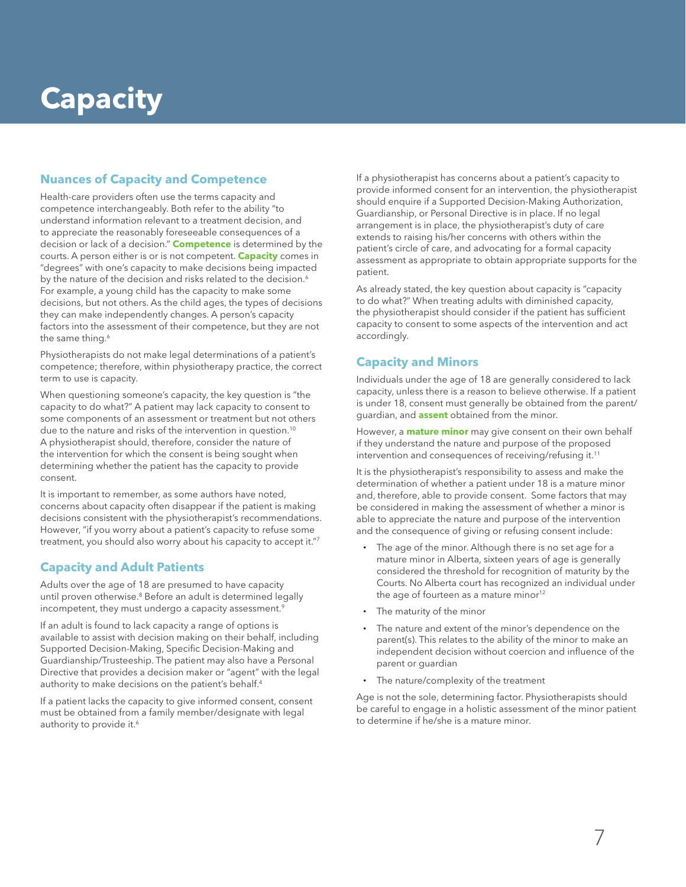# **Capacity**

#### **Nuances of Capacity and Competence**

Health-care providers often use the terms capacity and competence interchangeably. Both refer to the ability "to understand information relevant to a treatment decision, and to appreciate the reasonably foreseeable consequences of a decision or lack of a decision." **Competence** is determined by the courts. A person either is or is not competent. **Capacity** comes in "degrees" with one's capacity to make decisions being impacted by the nature of the decision and risks related to the decision.<sup>6</sup> For example, a young child has the capacity to make some decisions, but not others. As the child ages, the types of decisions they can make independently changes. A person's capacity factors into the assessment of their competence, but they are not the same thing.<sup>6</sup>

Physiotherapists do not make legal determinations of a patient's competence; therefore, within physiotherapy practice, the correct term to use is capacity.

When questioning someone's capacity, the key question is "the capacity to do what?" A patient may lack capacity to consent to some components of an assessment or treatment but not others due to the nature and risks of the intervention in question.<sup>10</sup> A physiotherapist should, therefore, consider the nature of the intervention for which the consent is being sought when determining whether the patient has the capacity to provide consent.

It is important to remember, as some authors have noted, concerns about capacity often disappear if the patient is making decisions consistent with the physiotherapist's recommendations. However, "if you worry about a patient's capacity to refuse some treatment, you should also worry about his capacity to accept it."7

#### **Capacity and Adult Patients**

Adults over the age of 18 are presumed to have capacity until proven otherwise.<sup>8</sup> Before an adult is determined legally incompetent, they must undergo a capacity assessment.<sup>9</sup>

If an adult is found to lack capacity a range of options is available to assist with decision making on their behalf, including Supported Decision-Making, Specific Decision-Making and Guardianship/Trusteeship. The patient may also have a Personal Directive that provides a decision maker or "agent" with the legal authority to make decisions on the patient's behalf.<sup>4</sup>

If a patient lacks the capacity to give informed consent, consent must be obtained from a family member/designate with legal authority to provide it.<sup>6</sup>

If a physiotherapist has concerns about a patient's capacity to provide informed consent for an intervention, the physiotherapist should enquire if a Supported Decision-Making Authorization, Guardianship, or Personal Directive is in place. If no legal arrangement is in place, the physiotherapist's duty of care extends to raising his/her concerns with others within the patient's circle of care, and advocating for a formal capacity assessment as appropriate to obtain appropriate supports for the patient.

As already stated, the key question about capacity is "capacity to do what?" When treating adults with diminished capacity, the physiotherapist should consider if the patient has sufficient capacity to consent to some aspects of the intervention and act accordingly.

#### **Capacity and Minors**

Individuals under the age of 18 are generally considered to lack capacity, unless there is a reason to believe otherwise. If a patient is under 18, consent must generally be obtained from the parent/ guardian, and **assent** obtained from the minor.

However, a **mature minor** may give consent on their own behalf if they understand the nature and purpose of the proposed intervention and consequences of receiving/refusing it.<sup>11</sup>

It is the physiotherapist's responsibility to assess and make the determination of whether a patient under 18 is a mature minor and, therefore, able to provide consent. Some factors that may be considered in making the assessment of whether a minor is able to appreciate the nature and purpose of the intervention and the consequence of giving or refusing consent include:

- **·** The age of the minor. Although there is no set age for a mature minor in Alberta, sixteen years of age is generally considered the threshold for recognition of maturity by the Courts. No Alberta court has recognized an individual under the age of fourteen as a mature minor $12$
- **·** The maturity of the minor
- **·** The nature and extent of the minor's dependence on the parent(s). This relates to the ability of the minor to make an independent decision without coercion and influence of the parent or guardian
- **·** The nature/complexity of the treatment

Age is not the sole, determining factor. Physiotherapists should be careful to engage in a holistic assessment of the minor patient to determine if he/she is a mature minor.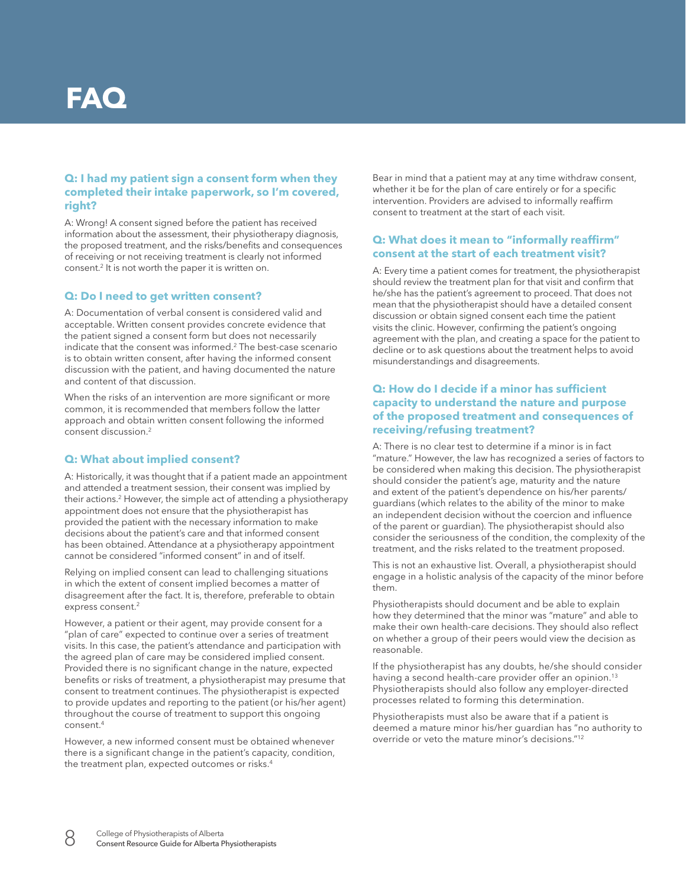### **FAQ**

#### **Q: I had my patient sign a consent form when they completed their intake paperwork, so I'm covered, right?**

A: Wrong! A consent signed before the patient has received information about the assessment, their physiotherapy diagnosis, the proposed treatment, and the risks/benefits and consequences of receiving or not receiving treatment is clearly not informed consent.<sup>2</sup> It is not worth the paper it is written on.

#### **Q: Do I need to get written consent?**

A: Documentation of verbal consent is considered valid and acceptable. Written consent provides concrete evidence that the patient signed a consent form but does not necessarily indicate that the consent was informed.2 The best-case scenario is to obtain written consent, after having the informed consent discussion with the patient, and having documented the nature and content of that discussion.

When the risks of an intervention are more significant or more common, it is recommended that members follow the latter approach and obtain written consent following the informed consent discussion.<sup>2</sup>

#### **Q: What about implied consent?**

A: Historically, it was thought that if a patient made an appointment and attended a treatment session, their consent was implied by their actions.<sup>2</sup> However, the simple act of attending a physiotherapy appointment does not ensure that the physiotherapist has provided the patient with the necessary information to make decisions about the patient's care and that informed consent has been obtained. Attendance at a physiotherapy appointment cannot be considered "informed consent" in and of itself.

Relying on implied consent can lead to challenging situations in which the extent of consent implied becomes a matter of disagreement after the fact. It is, therefore, preferable to obtain express consent.<sup>2</sup>

However, a patient or their agent, may provide consent for a "plan of care" expected to continue over a series of treatment visits. In this case, the patient's attendance and participation with the agreed plan of care may be considered implied consent. Provided there is no significant change in the nature, expected benefits or risks of treatment, a physiotherapist may presume that consent to treatment continues. The physiotherapist is expected to provide updates and reporting to the patient (or his/her agent) throughout the course of treatment to support this ongoing  $\cos$ consent<sup>4</sup>

However, a new informed consent must be obtained whenever there is a significant change in the patient's capacity, condition, the treatment plan, expected outcomes or risks.<sup>4</sup>

Bear in mind that a patient may at any time withdraw consent, whether it be for the plan of care entirely or for a specific intervention. Providers are advised to informally reaffirm consent to treatment at the start of each visit.

#### **Q: What does it mean to "informally reaffirm" consent at the start of each treatment visit?**

A: Every time a patient comes for treatment, the physiotherapist should review the treatment plan for that visit and confirm that he/she has the patient's agreement to proceed. That does not mean that the physiotherapist should have a detailed consent discussion or obtain signed consent each time the patient visits the clinic. However, confirming the patient's ongoing agreement with the plan, and creating a space for the patient to decline or to ask questions about the treatment helps to avoid misunderstandings and disagreements.

#### **Q: How do I decide if a minor has sufficient capacity to understand the nature and purpose of the proposed treatment and consequences of receiving/refusing treatment?**

A: There is no clear test to determine if a minor is in fact "mature." However, the law has recognized a series of factors to be considered when making this decision. The physiotherapist should consider the patient's age, maturity and the nature and extent of the patient's dependence on his/her parents/ guardians (which relates to the ability of the minor to make an independent decision without the coercion and influence of the parent or guardian). The physiotherapist should also consider the seriousness of the condition, the complexity of the treatment, and the risks related to the treatment proposed.

This is not an exhaustive list. Overall, a physiotherapist should engage in a holistic analysis of the capacity of the minor before them.

Physiotherapists should document and be able to explain how they determined that the minor was "mature" and able to make their own health-care decisions. They should also reflect on whether a group of their peers would view the decision as reasonable.

If the physiotherapist has any doubts, he/she should consider having a second health-care provider offer an opinion.<sup>13</sup> Physiotherapists should also follow any employer-directed processes related to forming this determination.

Physiotherapists must also be aware that if a patient is deemed a mature minor his/her guardian has "no authority to override or veto the mature minor's decisions."12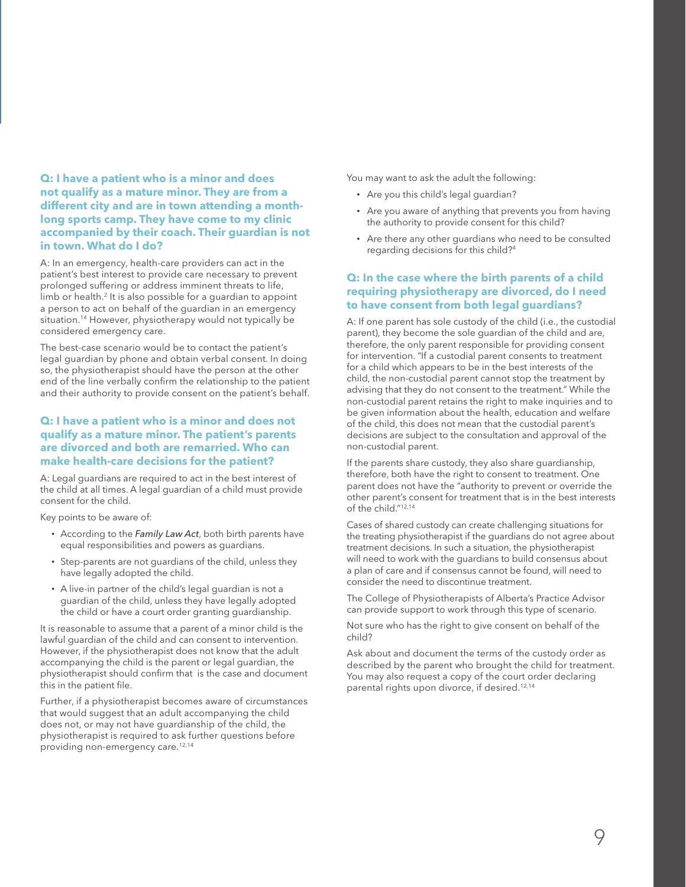#### **Q: I have a patient who is a minor and does not qualify as a mature minor. They are from a different city and are in town attending a monthlong sports camp. They have come to my clinic accompanied by their coach. Their guardian is not in town. What do I do?**

A: In an emergency, health-care providers can act in the patient's best interest to provide care necessary to prevent prolonged suffering or address imminent threats to life, limb or health.<sup>2</sup> It is also possible for a guardian to appoint a person to act on behalf of the guardian in an emergency situation.<sup>14</sup> However, physiotherapy would not typically be considered emergency care.

The best-case scenario would be to contact the patient's legal guardian by phone and obtain verbal consent. In doing so, the physiotherapist should have the person at the other end of the line verbally confirm the relationship to the patient and their authority to provide consent on the patient's behalf.

#### **Q: I have a patient who is a minor and does not qualify as a mature minor. The patient's parents are divorced and both are remarried. Who can make health-care decisions for the patient?**

A: Legal guardians are required to act in the best interest of the child at all times. A legal guardian of a child must provide consent for the child.

Key points to be aware of:

- **·** According to the *Family Law Act*, both birth parents have equal responsibilities and powers as guardians.
- **·** Step-parents are not guardians of the child, unless they have legally adopted the child.
- **·** A live-in partner of the child's legal guardian is not a guardian of the child, unless they have legally adopted the child or have a court order granting guardianship.

It is reasonable to assume that a parent of a minor child is the lawful guardian of the child and can consent to intervention. However, if the physiotherapist does not know that the adult accompanying the child is the parent or legal guardian, the physiotherapist should confirm that is the case and document this in the patient file.

Further, if a physiotherapist becomes aware of circumstances that would suggest that an adult accompanying the child does not, or may not have guardianship of the child, the physiotherapist is required to ask further questions before providing non-emergency care.12,14

You may want to ask the adult the following:

- **·** Are you this child's legal guardian?
- **·** Are you aware of anything that prevents you from having the authority to provide consent for this child?
- **·** Are there any other guardians who need to be consulted regarding decisions for this child?4

#### **Q: In the case where the birth parents of a child requiring physiotherapy are divorced, do I need to have consent from both legal guardians?**

A: If one parent has sole custody of the child (i.e., the custodial parent), they become the sole guardian of the child and are, therefore, the only parent responsible for providing consent for intervention. "If a custodial parent consents to treatment for a child which appears to be in the best interests of the child, the non-custodial parent cannot stop the treatment by advising that they do not consent to the treatment." While the non-custodial parent retains the right to make inquiries and to be given information about the health, education and welfare of the child, this does not mean that the custodial parent's decisions are subject to the consultation and approval of the non-custodial parent.

If the parents share custody, they also share guardianship, therefore, both have the right to consent to treatment. One parent does not have the "authority to prevent or override the other parent's consent for treatment that is in the best interests of the child."12,14

Cases of shared custody can create challenging situations for the treating physiotherapist if the guardians do not agree about treatment decisions. In such a situation, the physiotherapist will need to work with the guardians to build consensus about a plan of care and if consensus cannot be found, will need to consider the need to discontinue treatment.

The College of Physiotherapists of Alberta's Practice Advisor can provide support to work through this type of scenario.

Not sure who has the right to give consent on behalf of the child?

Ask about and document the terms of the custody order as described by the parent who brought the child for treatment. You may also request a copy of the court order declaring parental rights upon divorce, if desired.12,14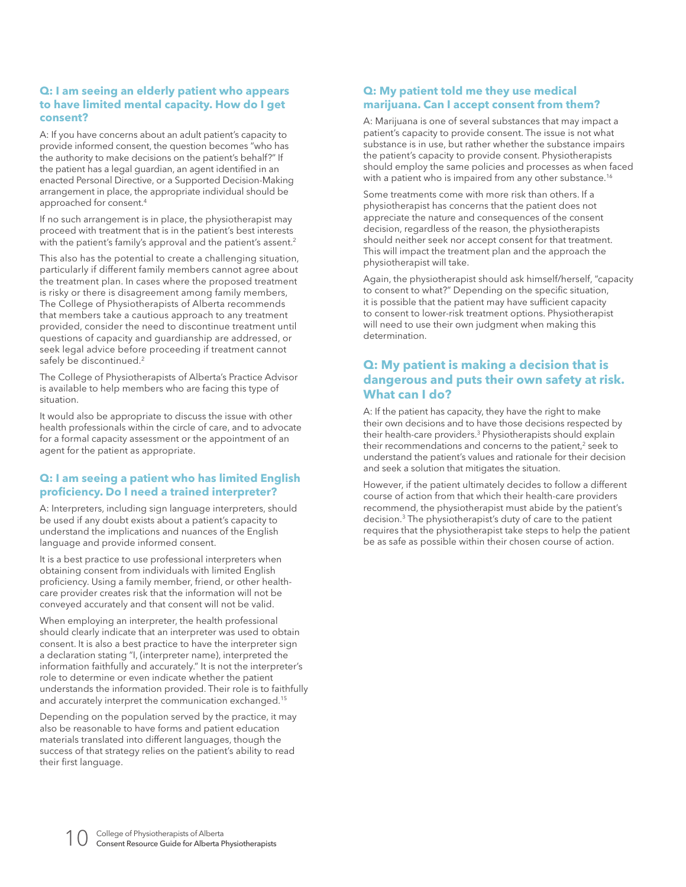#### **Q: I am seeing an elderly patient who appears to have limited mental capacity. How do I get consent?**

A: If you have concerns about an adult patient's capacity to provide informed consent, the question becomes "who has the authority to make decisions on the patient's behalf?" If the patient has a legal guardian, an agent identified in an enacted Personal Directive, or a Supported Decision-Making arrangement in place, the appropriate individual should be approached for consent.4

If no such arrangement is in place, the physiotherapist may proceed with treatment that is in the patient's best interests with the patient's family's approval and the patient's assent.<sup>2</sup>

This also has the potential to create a challenging situation, particularly if different family members cannot agree about the treatment plan. In cases where the proposed treatment is risky or there is disagreement among family members, The College of Physiotherapists of Alberta recommends that members take a cautious approach to any treatment provided, consider the need to discontinue treatment until questions of capacity and guardianship are addressed, or seek legal advice before proceeding if treatment cannot safely be discontinued.<sup>2</sup>

The College of Physiotherapists of Alberta's Practice Advisor is available to help members who are facing this type of situation.

It would also be appropriate to discuss the issue with other health professionals within the circle of care, and to advocate for a formal capacity assessment or the appointment of an agent for the patient as appropriate.

#### **Q: I am seeing a patient who has limited English proficiency. Do I need a trained interpreter?**

A: Interpreters, including sign language interpreters, should be used if any doubt exists about a patient's capacity to understand the implications and nuances of the English language and provide informed consent.

It is a best practice to use professional interpreters when obtaining consent from individuals with limited English proficiency. Using a family member, friend, or other healthcare provider creates risk that the information will not be conveyed accurately and that consent will not be valid.

When employing an interpreter, the health professional should clearly indicate that an interpreter was used to obtain consent. It is also a best practice to have the interpreter sign a declaration stating "I, (interpreter name), interpreted the information faithfully and accurately." It is not the interpreter's role to determine or even indicate whether the patient understands the information provided. Their role is to faithfully and accurately interpret the communication exchanged.15

Depending on the population served by the practice, it may also be reasonable to have forms and patient education materials translated into different languages, though the success of that strategy relies on the patient's ability to read their first language.

#### **Q: My patient told me they use medical marijuana. Can I accept consent from them?**

A: Marijuana is one of several substances that may impact a patient's capacity to provide consent. The issue is not what substance is in use, but rather whether the substance impairs the patient's capacity to provide consent. Physiotherapists should employ the same policies and processes as when faced with a patient who is impaired from any other substance.<sup>16</sup>

Some treatments come with more risk than others. If a physiotherapist has concerns that the patient does not appreciate the nature and consequences of the consent decision, regardless of the reason, the physiotherapists should neither seek nor accept consent for that treatment. This will impact the treatment plan and the approach the physiotherapist will take.

Again, the physiotherapist should ask himself/herself, "capacity to consent to what?" Depending on the specific situation, it is possible that the patient may have sufficient capacity to consent to lower-risk treatment options. Physiotherapist will need to use their own judgment when making this determination.

#### **Q: My patient is making a decision that is dangerous and puts their own safety at risk. What can I do?**

A: If the patient has capacity, they have the right to make their own decisions and to have those decisions respected by their health-care providers.3 Physiotherapists should explain their recommendations and concerns to the patient, $2$  seek to understand the patient's values and rationale for their decision and seek a solution that mitigates the situation.

However, if the patient ultimately decides to follow a different course of action from that which their health-care providers recommend, the physiotherapist must abide by the patient's decision.3 The physiotherapist's duty of care to the patient requires that the physiotherapist take steps to help the patient be as safe as possible within their chosen course of action.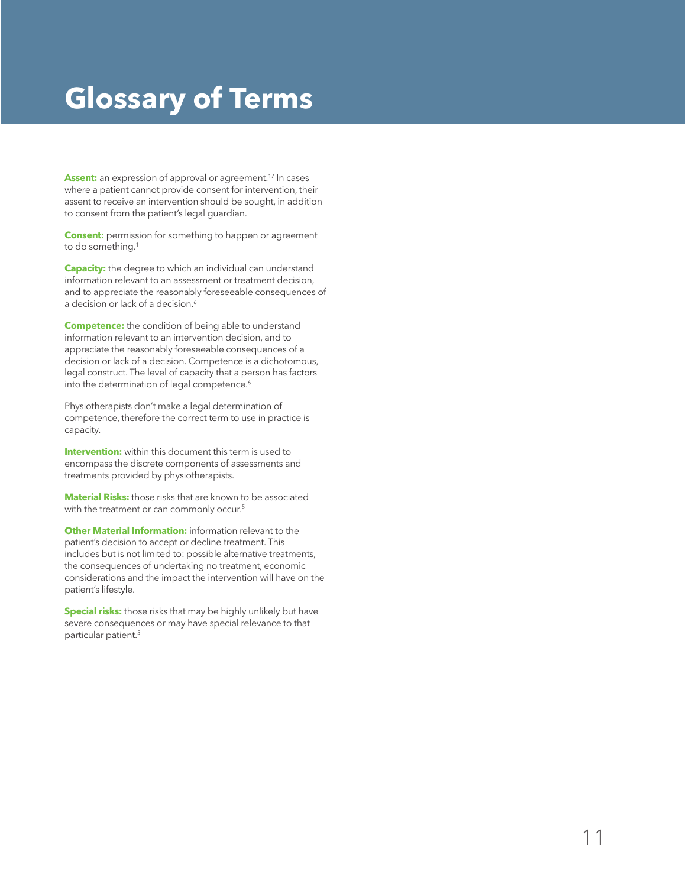## **Glossary of Terms**

Assent: an expression of approval or agreement.<sup>17</sup> In cases where a patient cannot provide consent for intervention, their assent to receive an intervention should be sought, in addition to consent from the patient's legal guardian.

**Consent:** permission for something to happen or agreement to do something.<sup>1</sup>

**Capacity:** the degree to which an individual can understand information relevant to an assessment or treatment decision, and to appreciate the reasonably foreseeable consequences of a decision or lack of a decision.<sup>6</sup>

**Competence:** the condition of being able to understand information relevant to an intervention decision, and to appreciate the reasonably foreseeable consequences of a decision or lack of a decision. Competence is a dichotomous, legal construct. The level of capacity that a person has factors into the determination of legal competence.<sup>6</sup>

Physiotherapists don't make a legal determination of competence, therefore the correct term to use in practice is capacity.

**Intervention:** within this document this term is used to encompass the discrete components of assessments and treatments provided by physiotherapists.

**Material Risks:** those risks that are known to be associated with the treatment or can commonly occur.<sup>5</sup>

**Other Material Information:** information relevant to the patient's decision to accept or decline treatment. This includes but is not limited to: possible alternative treatments, the consequences of undertaking no treatment, economic considerations and the impact the intervention will have on the patient's lifestyle.

**Special risks:** those risks that may be highly unlikely but have severe consequences or may have special relevance to that particular patient.5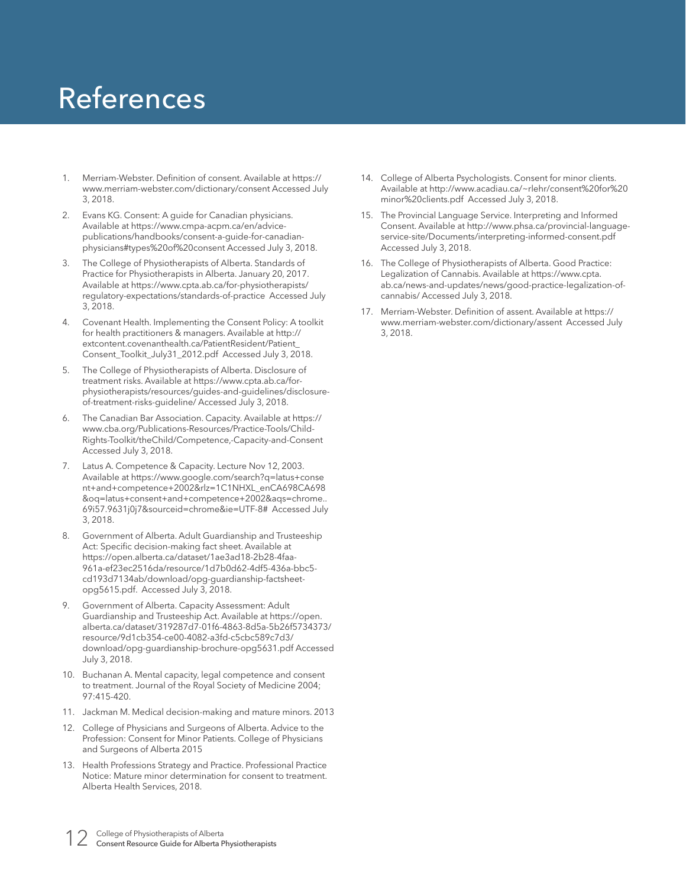## References

- 1. Merriam-Webster. Definition of consent. Available at https:// www.merriam-webster.com/dictionary/consent Accessed July 3, 2018.
- 2. Evans KG. Consent: A guide for Canadian physicians. Available at https://www.cmpa-acpm.ca/en/advicepublications/handbooks/consent-a-guide-for-canadianphysicians#types%20of%20consent Accessed July 3, 2018.
- The College of Physiotherapists of Alberta. Standards of Practice for Physiotherapists in Alberta. January 20, 2017. Available at https://www.cpta.ab.ca/for-physiotherapists/ regulatory-expectations/standards-of-practice Accessed July 3, 2018.
- 4. Covenant Health. Implementing the Consent Policy: A toolkit for health practitioners & managers. Available at http:// extcontent.covenanthealth.ca/PatientResident/Patient\_ Consent\_Toolkit\_July31\_2012.pdf Accessed July 3, 2018.
- 5. The College of Physiotherapists of Alberta. Disclosure of treatment risks. Available at https://www.cpta.ab.ca/forphysiotherapists/resources/guides-and-guidelines/disclosureof-treatment-risks-guideline/ Accessed July 3, 2018.
- 6. The Canadian Bar Association. Capacity. Available at https:// www.cba.org/Publications-Resources/Practice-Tools/Child-Rights-Toolkit/theChild/Competence,-Capacity-and-Consent Accessed July 3, 2018.
- Latus A. Competence & Capacity. Lecture Nov 12, 2003. Available at https://www.google.com/search?q=latus+conse nt+and+competence+2002&rlz=1C1NHXL\_enCA698CA698 &oq=latus+consent+and+competence+2002&aqs=chrome.. 69i57.9631j0j7&sourceid=chrome&ie=UTF-8# Accessed July 3, 2018.
- 8. Government of Alberta. Adult Guardianship and Trusteeship Act: Specific decision-making fact sheet. Available at https://open.alberta.ca/dataset/1ae3ad18-2b28-4faa-961a-ef23ec2516da/resource/1d7b0d62-4df5-436a-bbc5 cd193d7134ab/download/opg-guardianship-factsheetopg5615.pdf. Accessed July 3, 2018.
- Government of Alberta. Capacity Assessment: Adult Guardianship and Trusteeship Act. Available at https://open. alberta.ca/dataset/319287d7-01f6-4863-8d5a-5b26f5734373/ resource/9d1cb354-ce00-4082-a3fd-c5cbc589c7d3/ download/opg-guardianship-brochure-opg5631.pdf Accessed July 3, 2018.
- 10. Buchanan A. Mental capacity, legal competence and consent to treatment. Journal of the Royal Society of Medicine 2004; 97:415-420.
- 11. Jackman M. Medical decision-making and mature minors. 2013
- 12. College of Physicians and Surgeons of Alberta. Advice to the Profession: Consent for Minor Patients. College of Physicians and Surgeons of Alberta 2015
- 13. Health Professions Strategy and Practice. Professional Practice Notice: Mature minor determination for consent to treatment. Alberta Health Services, 2018.
- 14. College of Alberta Psychologists. Consent for minor clients. Available at http://www.acadiau.ca/~rlehr/consent%20for%20 minor%20clients.pdf Accessed July 3, 2018.
- 15. The Provincial Language Service. Interpreting and Informed Consent. Available at http://www.phsa.ca/provincial-languageservice-site/Documents/interpreting-informed-consent.pdf Accessed July 3, 2018.
- 16. The College of Physiotherapists of Alberta. Good Practice: Legalization of Cannabis. Available at https://www.cpta. ab.ca/news-and-updates/news/good-practice-legalization-ofcannabis/ Accessed July 3, 2018.
- 17. Merriam-Webster. Definition of assent. Available at https:// www.merriam-webster.com/dictionary/assent Accessed July 3, 2018.